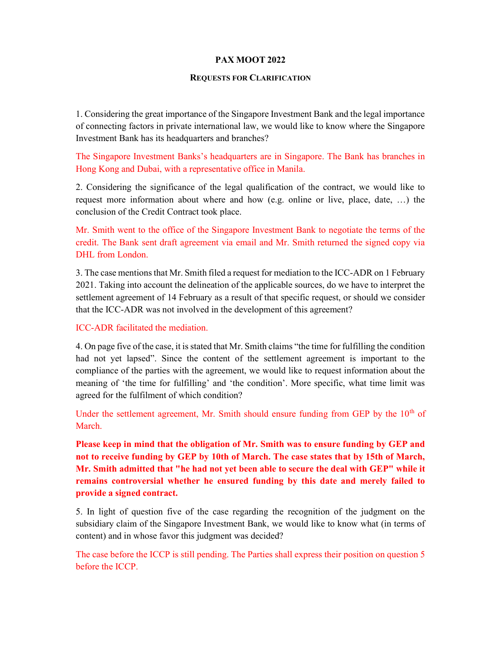#### PAX MOOT 2022

#### REQUESTS FOR CLARIFICATION

1. Considering the great importance of the Singapore Investment Bank and the legal importance of connecting factors in private international law, we would like to know where the Singapore Investment Bank has its headquarters and branches?

The Singapore Investment Banks's headquarters are in Singapore. The Bank has branches in Hong Kong and Dubai, with a representative office in Manila.

2. Considering the significance of the legal qualification of the contract, we would like to request more information about where and how (e.g. online or live, place, date, …) the conclusion of the Credit Contract took place.

Mr. Smith went to the office of the Singapore Investment Bank to negotiate the terms of the credit. The Bank sent draft agreement via email and Mr. Smith returned the signed copy via DHL from London.

3. The case mentions that Mr. Smith filed a request for mediation to the ICC-ADR on 1 February 2021. Taking into account the delineation of the applicable sources, do we have to interpret the settlement agreement of 14 February as a result of that specific request, or should we consider that the ICC-ADR was not involved in the development of this agreement?

#### ICC-ADR facilitated the mediation.

4. On page five of the case, it is stated that Mr. Smith claims "the time for fulfilling the condition had not yet lapsed". Since the content of the settlement agreement is important to the compliance of the parties with the agreement, we would like to request information about the meaning of 'the time for fulfilling' and 'the condition'. More specific, what time limit was agreed for the fulfilment of which condition?

Under the settlement agreement, Mr. Smith should ensure funding from GEP by the  $10<sup>th</sup>$  of March.

Please keep in mind that the obligation of Mr. Smith was to ensure funding by GEP and not to receive funding by GEP by 10th of March. The case states that by 15th of March, Mr. Smith admitted that "he had not yet been able to secure the deal with GEP" while it remains controversial whether he ensured funding by this date and merely failed to provide a signed contract.

5. In light of question five of the case regarding the recognition of the judgment on the subsidiary claim of the Singapore Investment Bank, we would like to know what (in terms of content) and in whose favor this judgment was decided?

The case before the ICCP is still pending. The Parties shall express their position on question 5 before the ICCP.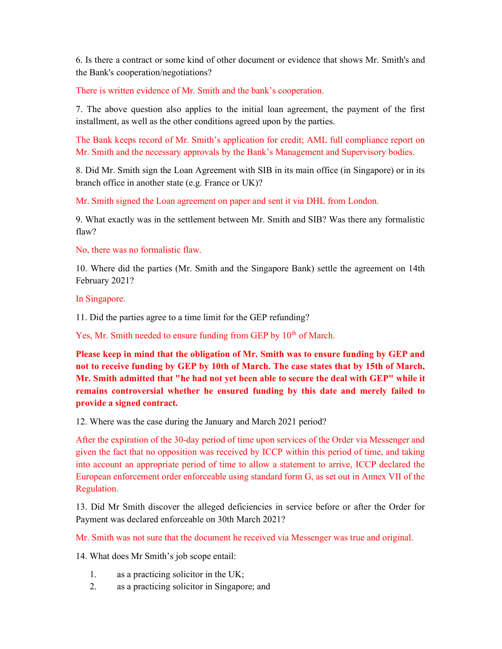6. Is there a contract or some kind of other document or evidence that shows Mr. Smith's and the Bank's cooperation/negotiations?

There is written evidence of Mr. Smith and the bank's cooperation.

7. The above question also applies to the initial loan agreement, the payment of the first installment, as well as the other conditions agreed upon by the parties.

The Bank keeps record of Mr. Smith's application for credit; AML full compliance report on Mr. Smith and the necessary approvals by the Bank's Management and Supervisory bodies.

8. Did Mr. Smith sign the Loan Agreement with SIB in its main office (in Singapore) or in its branch office in another state (e.g. France or UK)?

Mr. Smith signed the Loan agreement on paper and sent it via DHL from London.

9. What exactly was in the settlement between Mr. Smith and SIB? Was there any formalistic flaw?

No, there was no formalistic flaw.

10. Where did the parties (Mr. Smith and the Singapore Bank) settle the agreement on 14th February 2021?

In Singapore.

11. Did the parties agree to a time limit for the GEP refunding?

Yes, Mr. Smith needed to ensure funding from GEP by 10<sup>th</sup> of March.

Please keep in mind that the obligation of Mr. Smith was to ensure funding by GEP and not to receive funding by GEP by 10th of March. The case states that by 15th of March, Mr. Smith admitted that "he had not yet been able to secure the deal with GEP" while it remains controversial whether he ensured funding by this date and merely failed to provide a signed contract.

12. Where was the case during the January and March 2021 period?

After the expiration of the 30-day period of time upon services of the Order via Messenger and given the fact that no opposition was received by ICCP within this period of time, and taking into account an appropriate period of time to allow a statement to arrive, ICCP declared the European enforcement order enforceable using standard form G, as set out in Annex VII of the Regulation.

13. Did Mr Smith discover the alleged deficiencies in service before or after the Order for Payment was declared enforceable on 30th March 2021?

Mr. Smith was not sure that the document he received via Messenger was true and original.

14. What does Mr Smith's job scope entail:

- 1. as a practicing solicitor in the UK;
- 2. as a practicing solicitor in Singapore; and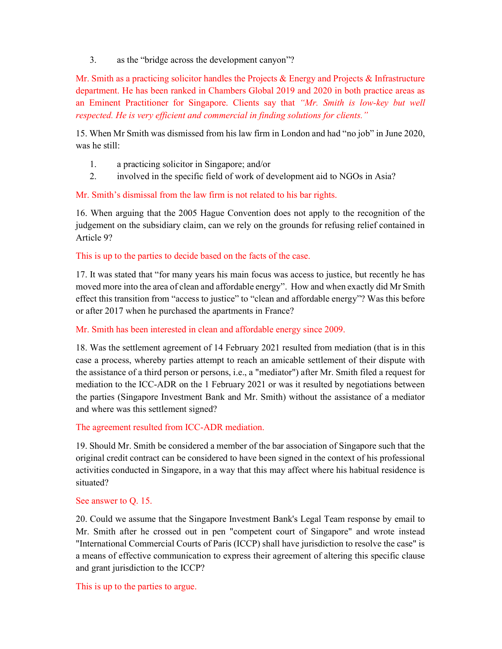3. as the "bridge across the development canyon"?

Mr. Smith as a practicing solicitor handles the Projects & Energy and Projects & Infrastructure department. He has been ranked in Chambers Global 2019 and 2020 in both practice areas as an Eminent Practitioner for Singapore. Clients say that "Mr. Smith is low-key but well respected. He is very efficient and commercial in finding solutions for clients."

15. When Mr Smith was dismissed from his law firm in London and had "no job" in June 2020, was he still:

- 1. a practicing solicitor in Singapore; and/or
- 2. involved in the specific field of work of development aid to NGOs in Asia?

### Mr. Smith's dismissal from the law firm is not related to his bar rights.

16. When arguing that the 2005 Hague Convention does not apply to the recognition of the judgement on the subsidiary claim, can we rely on the grounds for refusing relief contained in Article 9?

### This is up to the parties to decide based on the facts of the case.

17. It was stated that "for many years his main focus was access to justice, but recently he has moved more into the area of clean and affordable energy". How and when exactly did Mr Smith effect this transition from "access to justice" to "clean and affordable energy"? Was this before or after 2017 when he purchased the apartments in France?

### Mr. Smith has been interested in clean and affordable energy since 2009.

18. Was the settlement agreement of 14 February 2021 resulted from mediation (that is in this case a process, whereby parties attempt to reach an amicable settlement of their dispute with the assistance of a third person or persons, i.e., a "mediator") after Mr. Smith filed a request for mediation to the ICC-ADR on the 1 February 2021 or was it resulted by negotiations between the parties (Singapore Investment Bank and Mr. Smith) without the assistance of a mediator and where was this settlement signed?

### The agreement resulted from ICC-ADR mediation.

19. Should Mr. Smith be considered a member of the bar association of Singapore such that the original credit contract can be considered to have been signed in the context of his professional activities conducted in Singapore, in a way that this may affect where his habitual residence is situated?

### See answer to Q. 15.

20. Could we assume that the Singapore Investment Bank's Legal Team response by email to Mr. Smith after he crossed out in pen "competent court of Singapore" and wrote instead "International Commercial Courts of Paris (ICCP) shall have jurisdiction to resolve the case" is a means of effective communication to express their agreement of altering this specific clause and grant jurisdiction to the ICCP?

### This is up to the parties to argue.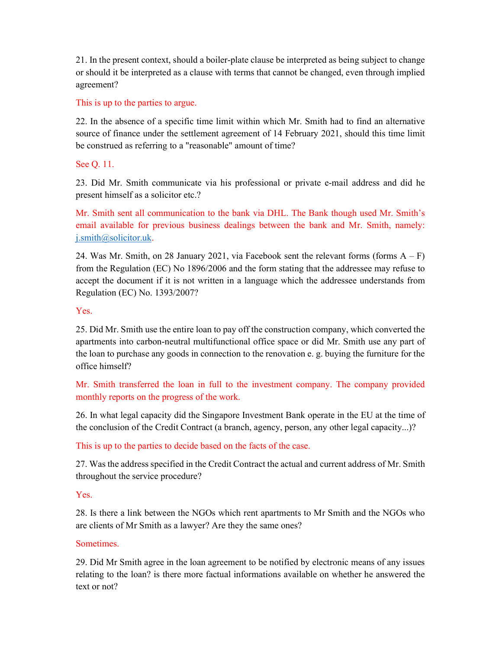21. In the present context, should a boiler-plate clause be interpreted as being subject to change or should it be interpreted as a clause with terms that cannot be changed, even through implied agreement?

## This is up to the parties to argue.

22. In the absence of a specific time limit within which Mr. Smith had to find an alternative source of finance under the settlement agreement of 14 February 2021, should this time limit be construed as referring to a "reasonable" amount of time?

## See Q. 11.

23. Did Mr. Smith communicate via his professional or private e-mail address and did he present himself as a solicitor etc.?

Mr. Smith sent all communication to the bank via DHL. The Bank though used Mr. Smith's email available for previous business dealings between the bank and Mr. Smith, namely: j.smith@solicitor.uk.

24. Was Mr. Smith, on 28 January 2021, via Facebook sent the relevant forms (forms  $A - F$ ) from the Regulation (EC) No 1896/2006 and the form stating that the addressee may refuse to accept the document if it is not written in a language which the addressee understands from Regulation (EC) No. 1393/2007?

## Yes.

25. Did Mr. Smith use the entire loan to pay off the construction company, which converted the apartments into carbon-neutral multifunctional office space or did Mr. Smith use any part of the loan to purchase any goods in connection to the renovation e. g. buying the furniture for the office himself?

Mr. Smith transferred the loan in full to the investment company. The company provided monthly reports on the progress of the work.

26. In what legal capacity did the Singapore Investment Bank operate in the EU at the time of the conclusion of the Credit Contract (a branch, agency, person, any other legal capacity...)?

This is up to the parties to decide based on the facts of the case.

27. Was the address specified in the Credit Contract the actual and current address of Mr. Smith throughout the service procedure?

## Yes.

28. Is there a link between the NGOs which rent apartments to Mr Smith and the NGOs who are clients of Mr Smith as a lawyer? Are they the same ones?

### Sometimes.

29. Did Mr Smith agree in the loan agreement to be notified by electronic means of any issues relating to the loan? is there more factual informations available on whether he answered the text or not?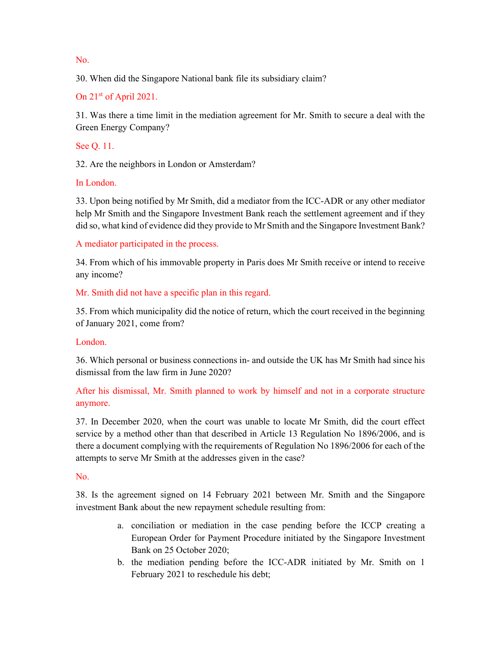No.

30. When did the Singapore National bank file its subsidiary claim?

On 21<sup>st</sup> of April 2021.

31. Was there a time limit in the mediation agreement for Mr. Smith to secure a deal with the Green Energy Company?

See Q. 11.

32. Are the neighbors in London or Amsterdam?

In London.

33. Upon being notified by Mr Smith, did a mediator from the ICC-ADR or any other mediator help Mr Smith and the Singapore Investment Bank reach the settlement agreement and if they did so, what kind of evidence did they provide to Mr Smith and the Singapore Investment Bank?

A mediator participated in the process.

34. From which of his immovable property in Paris does Mr Smith receive or intend to receive any income?

# Mr. Smith did not have a specific plan in this regard.

35. From which municipality did the notice of return, which the court received in the beginning of January 2021, come from?

# London.

36. Which personal or business connections in- and outside the UK has Mr Smith had since his dismissal from the law firm in June 2020?

# After his dismissal, Mr. Smith planned to work by himself and not in a corporate structure anymore.

37. In December 2020, when the court was unable to locate Mr Smith, did the court effect service by a method other than that described in Article 13 Regulation No 1896/2006, and is there a document complying with the requirements of Regulation No 1896/2006 for each of the attempts to serve Mr Smith at the addresses given in the case?

# No.

38. Is the agreement signed on 14 February 2021 between Mr. Smith and the Singapore investment Bank about the new repayment schedule resulting from:

- a. conciliation or mediation in the case pending before the ICCP creating a European Order for Payment Procedure initiated by the Singapore Investment Bank on 25 October 2020;
- b. the mediation pending before the ICC-ADR initiated by Mr. Smith on 1 February 2021 to reschedule his debt;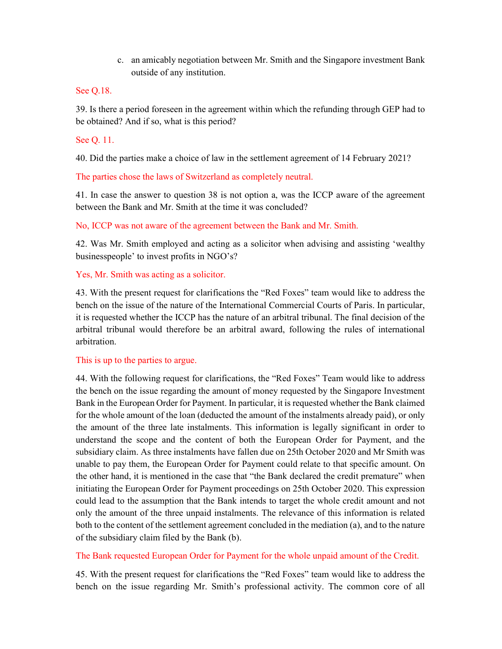c. an amicably negotiation between Mr. Smith and the Singapore investment Bank outside of any institution.

### See Q.18.

39. Is there a period foreseen in the agreement within which the refunding through GEP had to be obtained? And if so, what is this period?

## See Q. 11.

40. Did the parties make a choice of law in the settlement agreement of 14 February 2021?

The parties chose the laws of Switzerland as completely neutral.

41. In case the answer to question 38 is not option a, was the ICCP aware of the agreement between the Bank and Mr. Smith at the time it was concluded?

No, ICCP was not aware of the agreement between the Bank and Mr. Smith.

42. Was Mr. Smith employed and acting as a solicitor when advising and assisting 'wealthy businesspeople' to invest profits in NGO's?

## Yes, Mr. Smith was acting as a solicitor.

43. With the present request for clarifications the "Red Foxes" team would like to address the bench on the issue of the nature of the International Commercial Courts of Paris. In particular, it is requested whether the ICCP has the nature of an arbitral tribunal. The final decision of the arbitral tribunal would therefore be an arbitral award, following the rules of international arbitration.

## This is up to the parties to argue.

44. With the following request for clarifications, the "Red Foxes" Team would like to address the bench on the issue regarding the amount of money requested by the Singapore Investment Bank in the European Order for Payment. In particular, it is requested whether the Bank claimed for the whole amount of the loan (deducted the amount of the instalments already paid), or only the amount of the three late instalments. This information is legally significant in order to understand the scope and the content of both the European Order for Payment, and the subsidiary claim. As three instalments have fallen due on 25th October 2020 and Mr Smith was unable to pay them, the European Order for Payment could relate to that specific amount. On the other hand, it is mentioned in the case that "the Bank declared the credit premature" when initiating the European Order for Payment proceedings on 25th October 2020. This expression could lead to the assumption that the Bank intends to target the whole credit amount and not only the amount of the three unpaid instalments. The relevance of this information is related both to the content of the settlement agreement concluded in the mediation (a), and to the nature of the subsidiary claim filed by the Bank (b).

## The Bank requested European Order for Payment for the whole unpaid amount of the Credit.

45. With the present request for clarifications the "Red Foxes" team would like to address the bench on the issue regarding Mr. Smith's professional activity. The common core of all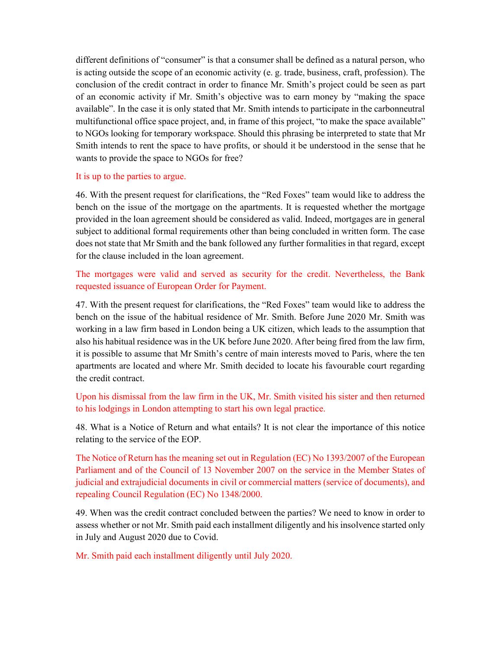different definitions of "consumer" is that a consumer shall be defined as a natural person, who is acting outside the scope of an economic activity (e. g. trade, business, craft, profession). The conclusion of the credit contract in order to finance Mr. Smith's project could be seen as part of an economic activity if Mr. Smith's objective was to earn money by "making the space available". In the case it is only stated that Mr. Smith intends to participate in the carbonneutral multifunctional office space project, and, in frame of this project, "to make the space available" to NGOs looking for temporary workspace. Should this phrasing be interpreted to state that Mr Smith intends to rent the space to have profits, or should it be understood in the sense that he wants to provide the space to NGOs for free?

#### It is up to the parties to argue.

46. With the present request for clarifications, the "Red Foxes" team would like to address the bench on the issue of the mortgage on the apartments. It is requested whether the mortgage provided in the loan agreement should be considered as valid. Indeed, mortgages are in general subject to additional formal requirements other than being concluded in written form. The case does not state that Mr Smith and the bank followed any further formalities in that regard, except for the clause included in the loan agreement.

## The mortgages were valid and served as security for the credit. Nevertheless, the Bank requested issuance of European Order for Payment.

47. With the present request for clarifications, the "Red Foxes" team would like to address the bench on the issue of the habitual residence of Mr. Smith. Before June 2020 Mr. Smith was working in a law firm based in London being a UK citizen, which leads to the assumption that also his habitual residence was in the UK before June 2020. After being fired from the law firm, it is possible to assume that Mr Smith's centre of main interests moved to Paris, where the ten apartments are located and where Mr. Smith decided to locate his favourable court regarding the credit contract.

## Upon his dismissal from the law firm in the UK, Mr. Smith visited his sister and then returned to his lodgings in London attempting to start his own legal practice.

48. What is a Notice of Return and what entails? It is not clear the importance of this notice relating to the service of the EOP.

The Notice of Return has the meaning set out in Regulation (EC) No 1393/2007 of the European Parliament and of the Council of 13 November 2007 on the service in the Member States of judicial and extrajudicial documents in civil or commercial matters (service of documents), and repealing Council Regulation (EC) No 1348/2000.

49. When was the credit contract concluded between the parties? We need to know in order to assess whether or not Mr. Smith paid each installment diligently and his insolvence started only in July and August 2020 due to Covid.

Mr. Smith paid each installment diligently until July 2020.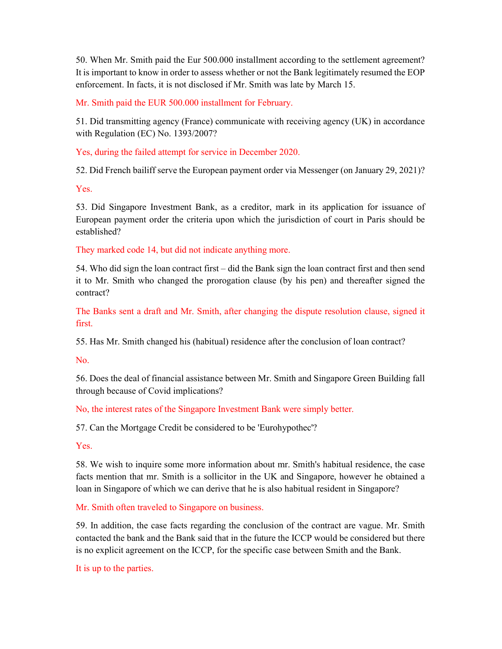50. When Mr. Smith paid the Eur 500.000 installment according to the settlement agreement? It is important to know in order to assess whether or not the Bank legitimately resumed the EOP enforcement. In facts, it is not disclosed if Mr. Smith was late by March 15.

Mr. Smith paid the EUR 500.000 installment for February.

51. Did transmitting agency (France) communicate with receiving agency (UK) in accordance with Regulation (EC) No. 1393/2007?

Yes, during the failed attempt for service in December 2020.

52. Did French bailiff serve the European payment order via Messenger (on January 29, 2021)?

Yes.

53. Did Singapore Investment Bank, as a creditor, mark in its application for issuance of European payment order the criteria upon which the jurisdiction of court in Paris should be established?

They marked code 14, but did not indicate anything more.

54. Who did sign the loan contract first – did the Bank sign the loan contract first and then send it to Mr. Smith who changed the prorogation clause (by his pen) and thereafter signed the contract?

The Banks sent a draft and Mr. Smith, after changing the dispute resolution clause, signed it first.

55. Has Mr. Smith changed his (habitual) residence after the conclusion of loan contract?

No.

56. Does the deal of financial assistance between Mr. Smith and Singapore Green Building fall through because of Covid implications?

No, the interest rates of the Singapore Investment Bank were simply better.

57. Can the Mortgage Credit be considered to be 'Eurohypothec'?

Yes.

58. We wish to inquire some more information about mr. Smith's habitual residence, the case facts mention that mr. Smith is a sollicitor in the UK and Singapore, however he obtained a loan in Singapore of which we can derive that he is also habitual resident in Singapore?

Mr. Smith often traveled to Singapore on business.

59. In addition, the case facts regarding the conclusion of the contract are vague. Mr. Smith contacted the bank and the Bank said that in the future the ICCP would be considered but there is no explicit agreement on the ICCP, for the specific case between Smith and the Bank.

It is up to the parties.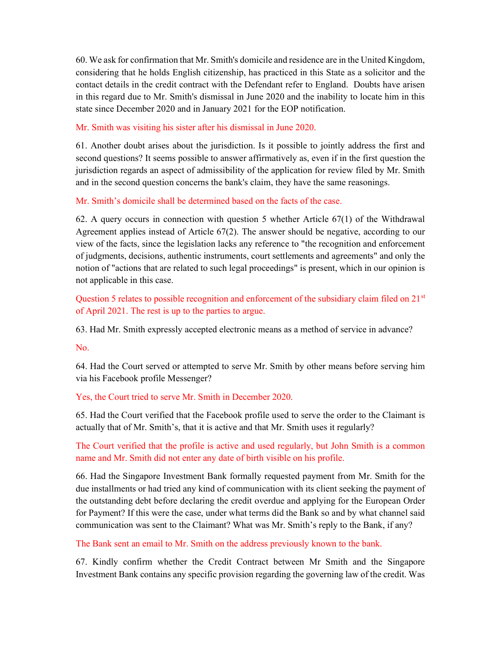60. We ask for confirmation that Mr. Smith's domicile and residence are in the United Kingdom, considering that he holds English citizenship, has practiced in this State as a solicitor and the contact details in the credit contract with the Defendant refer to England. Doubts have arisen in this regard due to Mr. Smith's dismissal in June 2020 and the inability to locate him in this state since December 2020 and in January 2021 for the EOP notification.

## Mr. Smith was visiting his sister after his dismissal in June 2020.

61. Another doubt arises about the jurisdiction. Is it possible to jointly address the first and second questions? It seems possible to answer affirmatively as, even if in the first question the jurisdiction regards an aspect of admissibility of the application for review filed by Mr. Smith and in the second question concerns the bank's claim, they have the same reasonings.

## Mr. Smith's domicile shall be determined based on the facts of the case.

62. A query occurs in connection with question 5 whether Article  $67(1)$  of the Withdrawal Agreement applies instead of Article 67(2). The answer should be negative, according to our view of the facts, since the legislation lacks any reference to "the recognition and enforcement of judgments, decisions, authentic instruments, court settlements and agreements" and only the notion of "actions that are related to such legal proceedings" is present, which in our opinion is not applicable in this case.

Question 5 relates to possible recognition and enforcement of the subsidiary claim filed on  $21<sup>st</sup>$ of April 2021. The rest is up to the parties to argue.

63. Had Mr. Smith expressly accepted electronic means as a method of service in advance?

No.

64. Had the Court served or attempted to serve Mr. Smith by other means before serving him via his Facebook profile Messenger?

## Yes, the Court tried to serve Mr. Smith in December 2020.

65. Had the Court verified that the Facebook profile used to serve the order to the Claimant is actually that of Mr. Smith's, that it is active and that Mr. Smith uses it regularly?

The Court verified that the profile is active and used regularly, but John Smith is a common name and Mr. Smith did not enter any date of birth visible on his profile.

66. Had the Singapore Investment Bank formally requested payment from Mr. Smith for the due installments or had tried any kind of communication with its client seeking the payment of the outstanding debt before declaring the credit overdue and applying for the European Order for Payment? If this were the case, under what terms did the Bank so and by what channel said communication was sent to the Claimant? What was Mr. Smith's reply to the Bank, if any?

## The Bank sent an email to Mr. Smith on the address previously known to the bank.

67. Kindly confirm whether the Credit Contract between Mr Smith and the Singapore Investment Bank contains any specific provision regarding the governing law of the credit. Was